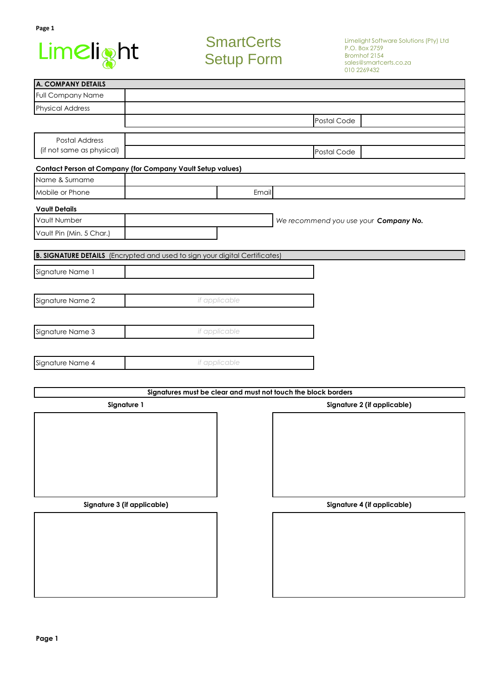

# **SmartCerts** Setup Form

| <b>A. COMPANY DETAILS</b>                                                          |               |               |                                                               |                             |
|------------------------------------------------------------------------------------|---------------|---------------|---------------------------------------------------------------|-----------------------------|
| <b>Full Company Name</b>                                                           |               |               |                                                               |                             |
| <b>Physical Address</b>                                                            |               |               |                                                               |                             |
|                                                                                    |               |               | Postal Code                                                   |                             |
| Postal Address                                                                     |               |               |                                                               |                             |
| (if not same as physical)                                                          |               | Postal Code   |                                                               |                             |
|                                                                                    |               |               |                                                               |                             |
| Contact Person at Company (for Company Vault Setup values)<br>Name & Surname       |               |               |                                                               |                             |
| Mobile or Phone                                                                    |               | Email         |                                                               |                             |
|                                                                                    |               |               |                                                               |                             |
| <b>Vault Details</b>                                                               |               |               |                                                               |                             |
| Vault Number                                                                       |               |               | We recommend you use your Company No.                         |                             |
| Vault Pin (Min. 5 Char.)                                                           |               |               |                                                               |                             |
| <b>B. SIGNATURE DETAILS</b> (Encrypted and used to sign your digital Certificates) |               |               |                                                               |                             |
|                                                                                    |               |               |                                                               |                             |
| Signature Name 1                                                                   |               |               |                                                               |                             |
|                                                                                    |               |               |                                                               |                             |
| Signature Name 2                                                                   |               | if applicable |                                                               |                             |
|                                                                                    |               |               |                                                               |                             |
| Signature Name 3                                                                   |               | if applicable |                                                               |                             |
|                                                                                    |               |               |                                                               |                             |
|                                                                                    |               |               |                                                               |                             |
| Signature Name 4                                                                   | if applicable |               |                                                               |                             |
|                                                                                    |               |               |                                                               |                             |
|                                                                                    |               |               | Signatures must be clear and must not touch the block borders |                             |
| Signature 1                                                                        |               |               |                                                               | Signature 2 (if applicable) |
|                                                                                    |               |               |                                                               |                             |
|                                                                                    |               |               |                                                               |                             |
|                                                                                    |               |               |                                                               |                             |
|                                                                                    |               |               |                                                               |                             |
|                                                                                    |               |               |                                                               |                             |
|                                                                                    |               |               |                                                               |                             |
|                                                                                    |               |               |                                                               |                             |
| Signature 3 (if applicable)                                                        |               |               |                                                               | Signature 4 (if applicable) |
|                                                                                    |               |               |                                                               |                             |
|                                                                                    |               |               |                                                               |                             |
|                                                                                    |               |               |                                                               |                             |
|                                                                                    |               |               |                                                               |                             |
|                                                                                    |               |               |                                                               |                             |
|                                                                                    |               |               |                                                               |                             |
|                                                                                    |               |               |                                                               |                             |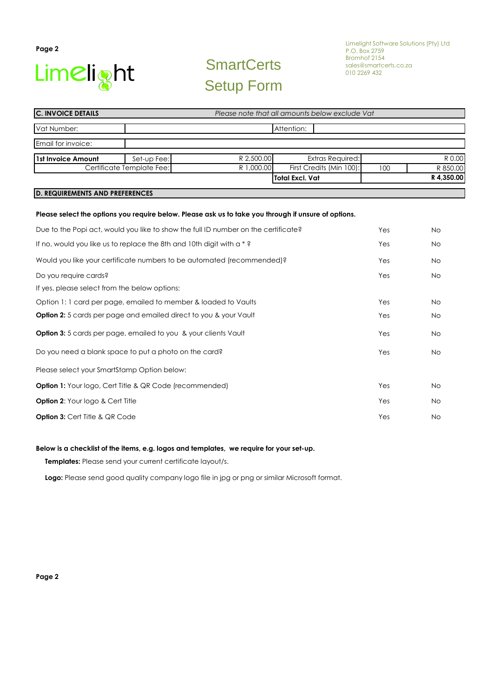

# **SmartCerts** Setup Form

| <b>C. INVOICE DETAILS</b>                                                          | Please note that all amounts below exclude Vat |            |                                                                                                      |     |            |
|------------------------------------------------------------------------------------|------------------------------------------------|------------|------------------------------------------------------------------------------------------------------|-----|------------|
| Vat Number:                                                                        |                                                |            | Attention:                                                                                           |     |            |
| Email for invoice:                                                                 |                                                |            |                                                                                                      |     |            |
| <b>1st Invoice Amount</b>                                                          | Set-up Fee:                                    | R 2,500.00 | <b>Extras Required:</b>                                                                              |     | R 0.00     |
|                                                                                    | Certificate Template Fee:                      | R 1,000.00 | First Credits (Min 100):                                                                             | 100 | R 850.00   |
|                                                                                    |                                                |            | <b>Total Excl. Vat</b>                                                                               |     | R 4,350.00 |
| <b>D. REQUIREMENTS AND PREFERENCES</b>                                             |                                                |            |                                                                                                      |     |            |
|                                                                                    |                                                |            | Please select the options you require below. Please ask us to take you through if unsure of options. |     |            |
| Due to the Popi act, would you like to show the full ID number on the certificate? |                                                |            |                                                                                                      | Yes | No         |

| If no, would you like us to replace the 8th and 10th digit with $a * ?$ | Yes | No |
|-------------------------------------------------------------------------|-----|----|
| Would you like your certificate numbers to be automated (recommended)?  | Yes | No |
| Do you require cards?                                                   | Yes | No |
| If yes, please select from the below options:                           |     |    |
| Option 1: 1 card per page, emailed to member & loaded to Vaults         | Yes | No |
| Option 2: 5 cards per page and emailed direct to you & your Vault       | Yes | No |
| <b>Option 3:</b> 5 cards per page, emailed to you & your clients Vault  | Yes | No |
| Do you need a blank space to put a photo on the card?                   | Yes | No |
| Please select your SmartStamp Option below:                             |     |    |
| <b>Option 1:</b> Your logo, Cert Title & QR Code (recommended)          | Yes | No |
| <b>Option 2:</b> Your logo & Cert Title                                 | Yes | No |
| <b>Option 3: Cert Title &amp; QR Code</b>                               | Yes | No |

#### **Below is a checklist of the items, e.g. logos and templates, we require for your set-up.**

 **Templates:** Please send your current certificate layout/s.

 **Logo:** Please send good quality company logo file in jpg or png or similar Microsoft format.

**Page 2**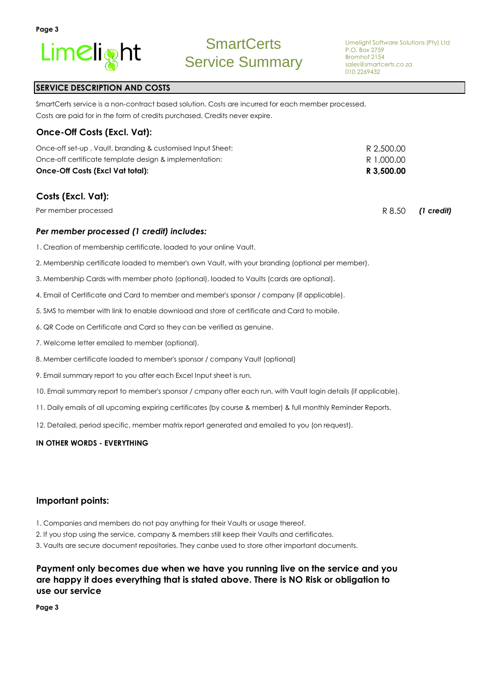

R 8.50 *(1 credit)*

## **SERVICE DESCRIPTION AND COSTS**

Costs are paid for in the form of credits purchased. Credits never expire. SmartCerts service is a non-contract based solution. Costs are incurred for each member processed.

#### **Once-Off Costs (Excl. Vat):**

| Once-Off Costs (Excl Vat total):                           | R 3,500.00 |
|------------------------------------------------------------|------------|
| Once-off certificate template design & implementation:     | R 1,000.00 |
| Once-off set-up, Vault, branding & customised Input Sheet: | R 2,500.00 |

## **Costs (Excl. Vat):**

Per member processed

#### *Per member processed (1 credit) includes:*

- 1. Creation of membership certificate, loaded to your online Vault.
- 2. Membership certificate loaded to member's own Vault, with your branding (optional per member).
- 3. Membership Cards with member photo (optional), loaded to Vaults (cards are optional).
- 4. Email of Certificate and Card to member and member's sponsor / company (if applicable).
- 5. SMS to member with link to enable download and store of certificate and Card to mobile.
- 6. QR Code on Certificate and Card so they can be verified as genuine.
- 7. Welcome letter emailed to member (optional).
- 8. Member certificate loaded to member's sponsor / company Vault (optional)
- 9. Email summary report to you after each Excel Input sheet is run.
- 10. Email summary report to member's sponsor / cmpany after each run, with Vault login details (if applicable).
- 11. Daily emails of all upcoming expiring certificates (by course & member) & full monthly Reminder Reports.
- 12. Detailed, period specific, member matrix report generated and emailed to you (on request).

#### **IN OTHER WORDS - EVERYTHING**

#### **Important points:**

- 1. Companies and members do not pay anything for their Vaults or usage thereof.
- 2. If you stop using the service, company & members still keep their Vaults and certificates.
- 3. Vaults are secure document repositories. They canbe used to store other important documents.

## **Payment only becomes due when we have you running live on the service and you are happy it does everything that is stated above. There is NO Risk or obligation to use our service**

**Page 3**